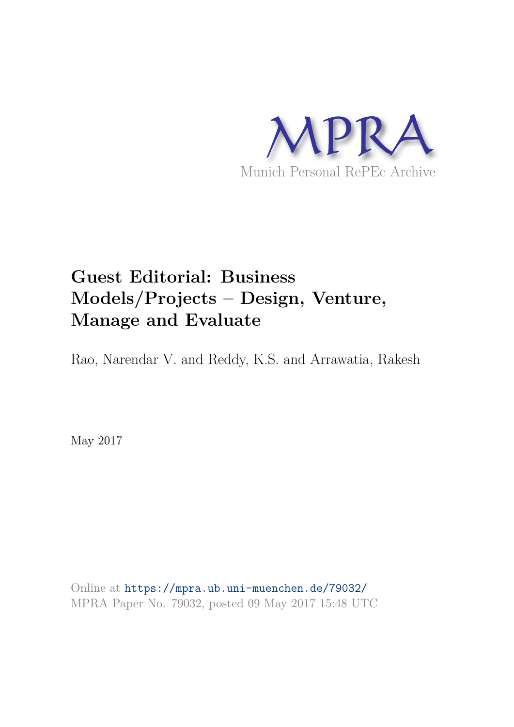

# **Guest Editorial: Business Models/Projects – Design, Venture, Manage and Evaluate**

Rao, Narendar V. and Reddy, K.S. and Arrawatia, Rakesh

May 2017

Online at https://mpra.ub.uni-muenchen.de/79032/ MPRA Paper No. 79032, posted 09 May 2017 15:48 UTC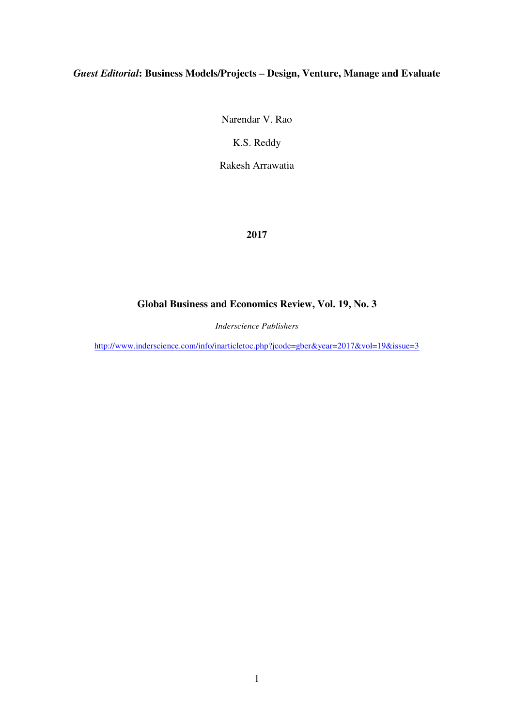# *Guest Editorial***: Business Models/Projects – Design, Venture, Manage and Evaluate**

Narendar V. Rao

K.S. Reddy

Rakesh Arrawatia

# **2017**

# **Global Business and Economics Review, Vol. 19, No. 3**

*Inderscience Publishers* 

<http://www.inderscience.com/info/inarticletoc.php?jcode=gber&year=2017&vol=19&issue=3>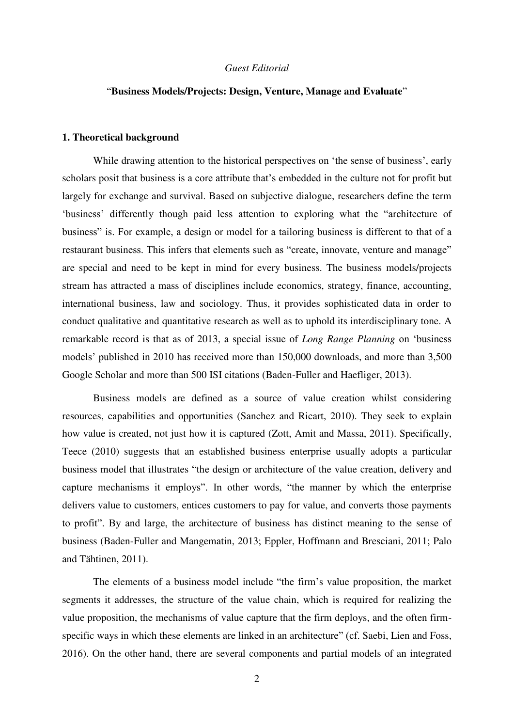## *Guest Editorial*

# "**Business Models/Projects: Design, Venture, Manage and Evaluate**"

#### **1. Theoretical background**

While drawing attention to the historical perspectives on 'the sense of business', early scholars posit that business is a core attribute that's embedded in the culture not for profit but largely for exchange and survival. Based on subjective dialogue, researchers define the term 'business' differently though paid less attention to exploring what the "architecture of business" is. For example, a design or model for a tailoring business is different to that of a restaurant business. This infers that elements such as "create, innovate, venture and manage" are special and need to be kept in mind for every business. The business models/projects stream has attracted a mass of disciplines include economics, strategy, finance, accounting, international business, law and sociology. Thus, it provides sophisticated data in order to conduct qualitative and quantitative research as well as to uphold its interdisciplinary tone. A remarkable record is that as of 2013, a special issue of *Long Range Planning* on 'business models' published in 2010 has received more than 150,000 downloads, and more than 3,500 Google Scholar and more than 500 ISI citations (Baden-Fuller and Haefliger, 2013).

Business models are defined as a source of value creation whilst considering resources, capabilities and opportunities (Sanchez and Ricart, 2010). They seek to explain how value is created, not just how it is captured (Zott, Amit and Massa, 2011). Specifically, Teece (2010) suggests that an established business enterprise usually adopts a particular business model that illustrates "the design or architecture of the value creation, delivery and capture mechanisms it employs". In other words, "the manner by which the enterprise delivers value to customers, entices customers to pay for value, and converts those payments to profit". By and large, the architecture of business has distinct meaning to the sense of business (Baden-Fuller and Mangematin, 2013; Eppler, Hoffmann and Bresciani, 2011; Palo and Tähtinen, 2011).

The elements of a business model include "the firm's value proposition, the market segments it addresses, the structure of the value chain, which is required for realizing the value proposition, the mechanisms of value capture that the firm deploys, and the often firmspecific ways in which these elements are linked in an architecture" (cf. Saebi, Lien and Foss, 2016). On the other hand, there are several components and partial models of an integrated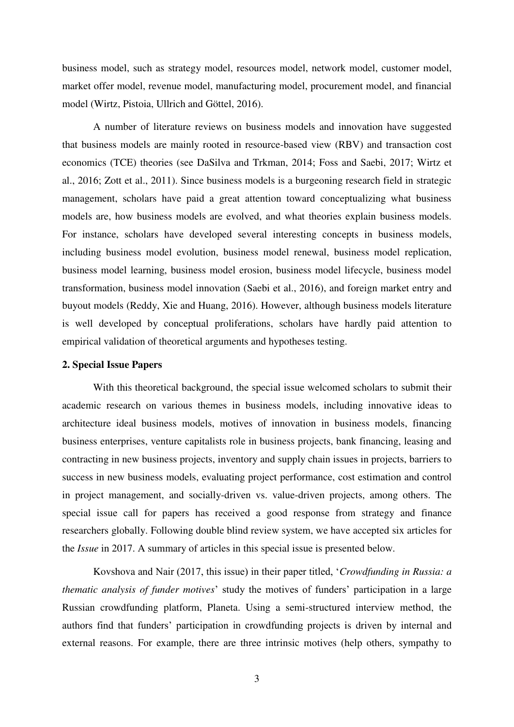business model, such as strategy model, resources model, network model, customer model, market offer model, revenue model, manufacturing model, procurement model, and financial model (Wirtz, Pistoia, Ullrich and Göttel, 2016).

A number of literature reviews on business models and innovation have suggested that business models are mainly rooted in resource-based view (RBV) and transaction cost economics (TCE) theories (see DaSilva and Trkman, 2014; Foss and Saebi, 2017; Wirtz et al., 2016; Zott et al., 2011). Since business models is a burgeoning research field in strategic management, scholars have paid a great attention toward conceptualizing what business models are, how business models are evolved, and what theories explain business models. For instance, scholars have developed several interesting concepts in business models, including business model evolution, business model renewal, business model replication, business model learning, business model erosion, business model lifecycle, business model transformation, business model innovation (Saebi et al., 2016), and foreign market entry and buyout models (Reddy, Xie and Huang, 2016). However, although business models literature is well developed by conceptual proliferations, scholars have hardly paid attention to empirical validation of theoretical arguments and hypotheses testing.

#### **2. Special Issue Papers**

With this theoretical background, the special issue welcomed scholars to submit their academic research on various themes in business models, including innovative ideas to architecture ideal business models, motives of innovation in business models, financing business enterprises, venture capitalists role in business projects, bank financing, leasing and contracting in new business projects, inventory and supply chain issues in projects, barriers to success in new business models, evaluating project performance, cost estimation and control in project management, and socially-driven vs. value-driven projects, among others. The special issue call for papers has received a good response from strategy and finance researchers globally. Following double blind review system, we have accepted six articles for the *Issue* in 2017. A summary of articles in this special issue is presented below.

Kovshova and Nair (2017, this issue) in their paper titled, '*Crowdfunding in Russia: a thematic analysis of funder motives*' study the motives of funders' participation in a large Russian crowdfunding platform, Planeta. Using a semi-structured interview method, the authors find that funders' participation in crowdfunding projects is driven by internal and external reasons. For example, there are three intrinsic motives (help others, sympathy to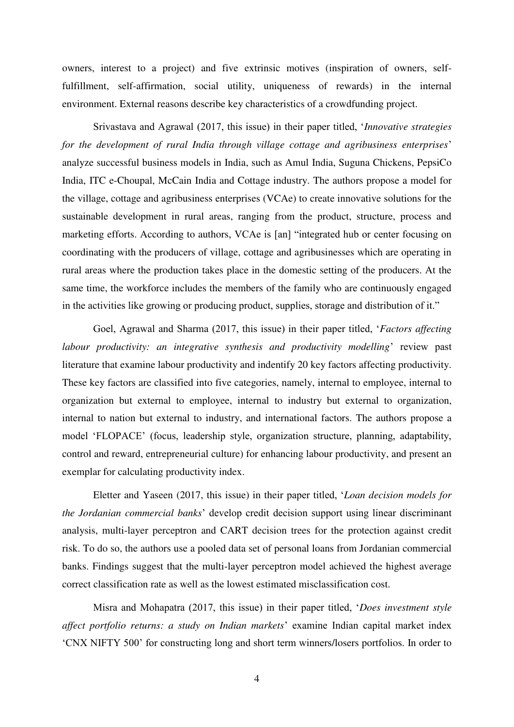owners, interest to a project) and five extrinsic motives (inspiration of owners, selffulfillment, self-affirmation, social utility, uniqueness of rewards) in the internal environment. External reasons describe key characteristics of a crowdfunding project.

Srivastava and Agrawal (2017, this issue) in their paper titled, '*Innovative strategies for the development of rural India through village cottage and agribusiness enterprises*' analyze successful business models in India, such as Amul India, Suguna Chickens, PepsiCo India, ITC e-Choupal, McCain India and Cottage industry. The authors propose a model for the village, cottage and agribusiness enterprises (VCAe) to create innovative solutions for the sustainable development in rural areas, ranging from the product, structure, process and marketing efforts. According to authors, VCAe is [an] "integrated hub or center focusing on coordinating with the producers of village, cottage and agribusinesses which are operating in rural areas where the production takes place in the domestic setting of the producers. At the same time, the workforce includes the members of the family who are continuously engaged in the activities like growing or producing product, supplies, storage and distribution of it."

Goel, Agrawal and Sharma (2017, this issue) in their paper titled, '*Factors affecting labour productivity: an integrative synthesis and productivity modelling*' review past literature that examine labour productivity and indentify 20 key factors affecting productivity. These key factors are classified into five categories, namely, internal to employee, internal to organization but external to employee, internal to industry but external to organization, internal to nation but external to industry, and international factors. The authors propose a model 'FLOPACE' (focus, leadership style, organization structure, planning, adaptability, control and reward, entrepreneurial culture) for enhancing labour productivity, and present an exemplar for calculating productivity index.

Eletter and Yaseen (2017, this issue) in their paper titled, '*Loan decision models for the Jordanian commercial banks*' develop credit decision support using linear discriminant analysis, multi-layer perceptron and CART decision trees for the protection against credit risk. To do so, the authors use a pooled data set of personal loans from Jordanian commercial banks. Findings suggest that the multi-layer perceptron model achieved the highest average correct classification rate as well as the lowest estimated misclassification cost.

Misra and Mohapatra (2017, this issue) in their paper titled, '*Does investment style affect portfolio returns: a study on Indian markets*' examine Indian capital market index 'CNX NIFTY 500' for constructing long and short term winners/losers portfolios. In order to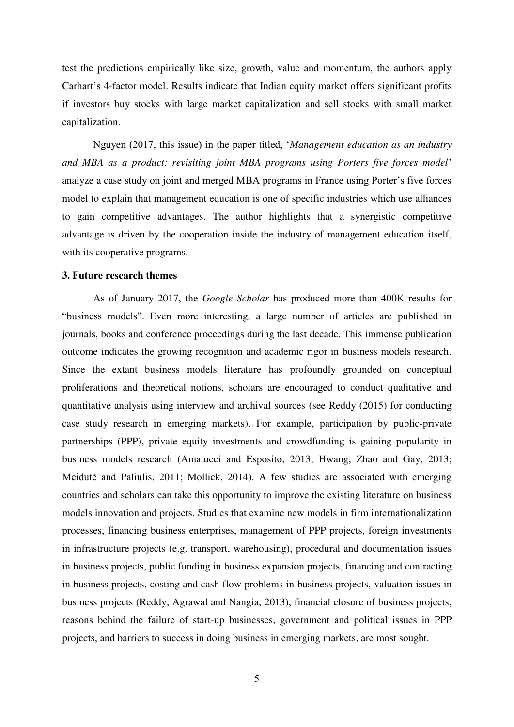test the predictions empirically like size, growth, value and momentum, the authors apply Carhart's 4-factor model. Results indicate that Indian equity market offers significant profits if investors buy stocks with large market capitalization and sell stocks with small market capitalization.

Nguyen (2017, this issue) in the paper titled, '*Management education as an industry and MBA as a product: revisiting joint MBA programs using Porters five forces model*' analyze a case study on joint and merged MBA programs in France using Porter's five forces model to explain that management education is one of specific industries which use alliances to gain competitive advantages. The author highlights that a synergistic competitive advantage is driven by the cooperation inside the industry of management education itself, with its cooperative programs.

## **3. Future research themes**

As of January 2017, the *Google Scholar* has produced more than 400K results for "business models". Even more interesting, a large number of articles are published in journals, books and conference proceedings during the last decade. This immense publication outcome indicates the growing recognition and academic rigor in business models research. Since the extant business models literature has profoundly grounded on conceptual proliferations and theoretical notions, scholars are encouraged to conduct qualitative and quantitative analysis using interview and archival sources (see Reddy (2015) for conducting case study research in emerging markets). For example, participation by public-private partnerships (PPP), private equity investments and crowdfunding is gaining popularity in business models research (Amatucci and Esposito, 2013; Hwang, Zhao and Gay, 2013; Meidutē and Paliulis, 2011; Mollick, 2014). A few studies are associated with emerging countries and scholars can take this opportunity to improve the existing literature on business models innovation and projects. Studies that examine new models in firm internationalization processes, financing business enterprises, management of PPP projects, foreign investments in infrastructure projects (e.g. transport, warehousing), procedural and documentation issues in business projects, public funding in business expansion projects, financing and contracting in business projects, costing and cash flow problems in business projects, valuation issues in business projects (Reddy, Agrawal and Nangia, 2013), financial closure of business projects, reasons behind the failure of start-up businesses, government and political issues in PPP projects, and barriers to success in doing business in emerging markets, are most sought.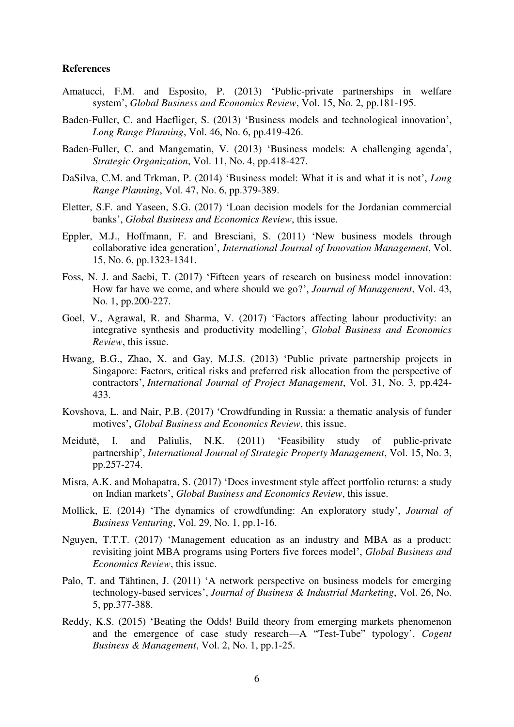## **References**

- Amatucci, F.M. and Esposito, P. (2013) 'Public-private partnerships in welfare system', *Global Business and Economics Review*, Vol. 15, No. 2, pp.181-195.
- Baden-Fuller, C. and Haefliger, S. (2013) 'Business models and technological innovation', *Long Range Planning*, Vol. 46, No. 6, pp.419-426.
- Baden-Fuller, C. and Mangematin, V. (2013) 'Business models: A challenging agenda', *Strategic Organization*, Vol. 11, No. 4, pp.418-427.
- DaSilva, C.M. and Trkman, P. (2014) 'Business model: What it is and what it is not', *Long Range Planning*, Vol. 47, No. 6, pp.379-389.
- Eletter, S.F. and Yaseen, S.G. (2017) 'Loan decision models for the Jordanian commercial banks', *Global Business and Economics Review*, this issue.
- Eppler, M.J., Hoffmann, F. and Bresciani, S. (2011) 'New business models through collaborative idea generation', *International Journal of Innovation Management*, Vol. 15, No. 6, pp.1323-1341.
- Foss, N. J. and Saebi, T. (2017) 'Fifteen years of research on business model innovation: How far have we come, and where should we go?', *Journal of Management*, Vol. 43, No. 1, pp.200-227.
- Goel, V., Agrawal, R. and Sharma, V. (2017) 'Factors affecting labour productivity: an integrative synthesis and productivity modelling', *Global Business and Economics Review*, this issue.
- Hwang, B.G., Zhao, X. and Gay, M.J.S. (2013) 'Public private partnership projects in Singapore: Factors, critical risks and preferred risk allocation from the perspective of contractors', *International Journal of Project Management*, Vol. 31, No. 3, pp.424- 433.
- Kovshova, L. and Nair, P.B. (2017) 'Crowdfunding in Russia: a thematic analysis of funder motives', *Global Business and Economics Review*, this issue.
- Meidutē, I. and Paliulis, N.K. (2011) 'Feasibility study of public-private partnership', *International Journal of Strategic Property Management*, Vol. 15, No. 3, pp.257-274.
- Misra, A.K. and Mohapatra, S. (2017) 'Does investment style affect portfolio returns: a study on Indian markets', *Global Business and Economics Review*, this issue.
- Mollick, E. (2014) 'The dynamics of crowdfunding: An exploratory study', *Journal of Business Venturing*, Vol. 29, No. 1, pp.1-16.
- Nguyen, T.T.T. (2017) 'Management education as an industry and MBA as a product: revisiting joint MBA programs using Porters five forces model', *Global Business and Economics Review*, this issue.
- Palo, T. and Tähtinen, J. (2011) 'A network perspective on business models for emerging technology-based services', *Journal of Business & Industrial Marketing*, Vol. 26, No. 5, pp.377-388.
- Reddy, K.S. (2015) 'Beating the Odds! Build theory from emerging markets phenomenon and the emergence of case study research—A "Test-Tube" typology', *Cogent Business & Management*, Vol. 2, No. 1, pp.1-25.